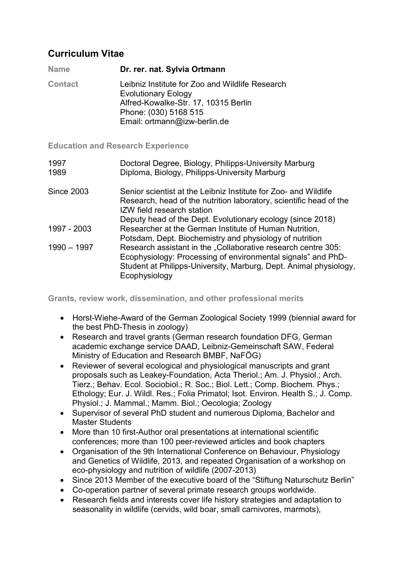## Curriculum Vitae

| <b>Name</b>    | Dr. rer. nat. Sylvia Ortmann                                                                                                                                                   |
|----------------|--------------------------------------------------------------------------------------------------------------------------------------------------------------------------------|
| <b>Contact</b> | Leibniz Institute for Zoo and Wildlife Research<br><b>Evolutionary Eology</b><br>Alfred-Kowalke-Str. 17, 10315 Berlin<br>Phone: (030) 5168 515<br>Email: ortmann@izw-berlin.de |

Education and Research Experience

| 1997<br>1989 | Doctoral Degree, Biology, Philipps-University Marburg<br>Diploma, Biology, Philipps-University Marburg                                                                                                              |
|--------------|---------------------------------------------------------------------------------------------------------------------------------------------------------------------------------------------------------------------|
| Since 2003   | Senior scientist at the Leibniz Institute for Zoo- and Wildlife<br>Research, head of the nutrition laboratory, scientific head of the<br>IZW field research station                                                 |
|              | Deputy head of the Dept. Evolutionary ecology (since 2018)                                                                                                                                                          |
| 1997 - 2003  | Researcher at the German Institute of Human Nutrition,<br>Potsdam, Dept. Biochemistry and physiology of nutrition                                                                                                   |
| 1990 - 1997  | Research assistant in the "Collaborative research centre 305:<br>Ecophysiology: Processing of environmental signals" and PhD-<br>Student at Philipps-University, Marburg, Dept. Animal physiology,<br>Ecophysiology |

Grants, review work, dissemination, and other professional merits

- Horst-Wiehe-Award of the German Zoological Society 1999 (biennial award for the best PhD-Thesis in zoology)
- Research and travel grants (German research foundation DFG, German academic exchange service DAAD, Leibniz-Gemeinschaft SAW, Federal Ministry of Education and Research BMBF, NaFÖG)
- Reviewer of several ecological and physiological manuscripts and grant proposals such as Leakey-Foundation, Acta Theriol.; Am. J. Physiol.; Arch. Tierz.; Behav. Ecol. Sociobiol.; R. Soc.; Biol. Lett.; Comp. Biochem. Phys.; Ethology; Eur. J. Wildl. Res.; Folia Primatol; Isot. Environ. Health S.; J. Comp. Physiol.; J. Mammal.; Mamm. Biol.; Oecologia; Zoology
- Supervisor of several PhD student and numerous Diploma, Bachelor and Master Students
- More than 10 first-Author oral presentations at international scientific conferences; more than 100 peer-reviewed articles and book chapters
- Organisation of the 9th International Conference on Behaviour, Physiology and Genetics of Wildlife, 2013, and repeated Organisation of a workshop on eco-physiology and nutrition of wildlife (2007-2013)
- Since 2013 Member of the executive board of the "Stiftung Naturschutz Berlin"
- Co-operation partner of several primate research groups worldwide.
- Research fields and interests cover life history strategies and adaptation to seasonality in wildlife (cervids, wild boar, small carnivores, marmots),